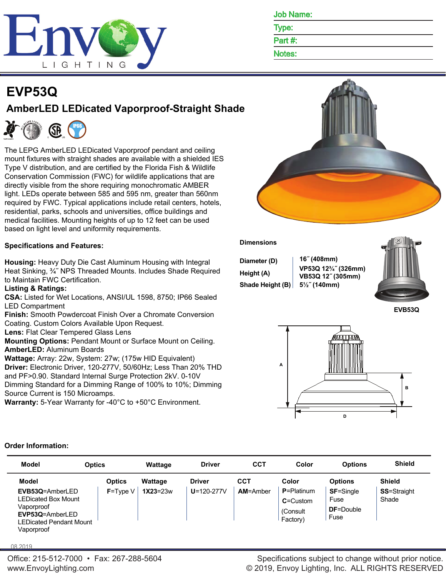

| <b>Job Name:</b> |
|------------------|
|                  |

Type:

Part #:

Notes:

# **EVP53Q AmberLED LEDicated Vaporproof-Straight Shade**



The LEPG AmberLED LEDicated Vaporproof pendant and ceiling mount fixtures with straight shades are available with a shielded IES Type V distribution, and are certified by the Florida Fish & Wildlife Conservation Commission (FWC) for wildlife applications that are directly visible from the shore requiring monochromatic AMBER light. LEDs operate between 585 and 595 nm, greater than 560nm required by FWC. Typical applications include retail centers, hotels, residential, parks, schools and universities, office buildings and medical facilities. Mounting heights of up to 12 feet can be used based on light level and uniformity requirements.

# **Specifications and Features:**

**Housing:** Heavy Duty Die Cast Aluminum Housing with Integral Heat Sinking, ¾˝ NPS Threaded Mounts. Includes Shade Required to Maintain FWC Certification.

## **Listing & Ratings:**

**CSA:** Listed for Wet Locations, ANSI/UL 1598, 8750; IP66 Sealed LED Compartment

**Finish:** Smooth Powdercoat Finish Over a Chromate Conversion Coating. Custom Colors Available Upon Request.

**Lens:** Flat Clear Tempered Glass Lens

**Mounting Options:** Pendant Mount or Surface Mount on Ceiling. **AmberLED:** Aluminum Boards

**Wattage:** Array: 22w, System: 27w; (175w HID Equivalent) **Driver:** Electronic Driver, 120-277V, 50/60Hz; Less Than 20% THD and PF>0.90. Standard Internal Surge Protection 2kV. 0-10V Dimming Standard for a Dimming Range of 100% to 10%; Dimming Source Current is 150 Microamps.

**Warranty:** 5-Year Warranty for -40°C to +50°C Environment.



## **Dimensions**

| Diameter (D)     | $16^{\circ}$ (408mm)                                   |  |
|------------------|--------------------------------------------------------|--|
| Height (A)       | VP53Q 12 <sup>3</sup> /4" (326mm)<br>VB53Q 12" (305mm) |  |
| Shade Height (B) | $5\frac{1}{2}$ (140mm)                                 |  |



**EVB53Q**



## **Order Information:**

| Model                                                                                                                   | <b>Optics</b> | Wattage      | <b>Driver</b>    | <b>CCT</b>      | Color                                                   | <b>Options</b>                                        | <b>Shield</b>               |
|-------------------------------------------------------------------------------------------------------------------------|---------------|--------------|------------------|-----------------|---------------------------------------------------------|-------------------------------------------------------|-----------------------------|
| Model                                                                                                                   | <b>Optics</b> | Wattage      | <b>Driver</b>    | <b>CCT</b>      | Color                                                   | <b>Options</b>                                        | <b>Shield</b>               |
| EVB53Q=AmberLED<br><b>LEDicated Box Mount</b><br>Vaporproof<br>EVP53Q=AmberLED<br>LEDicated Pendant Mount<br>Vaporproof | $F = Twoe V$  | $1X23 = 23w$ | $U = 120 - 277V$ | <b>AM=Amber</b> | $P =$ Platinum<br>$C =$ Custom<br>(Consult)<br>Factory) | <b>SF=Single</b><br>Fuse<br><b>DF</b> =Double<br>Fuse | <b>SS=Straight</b><br>Shade |

08.2019